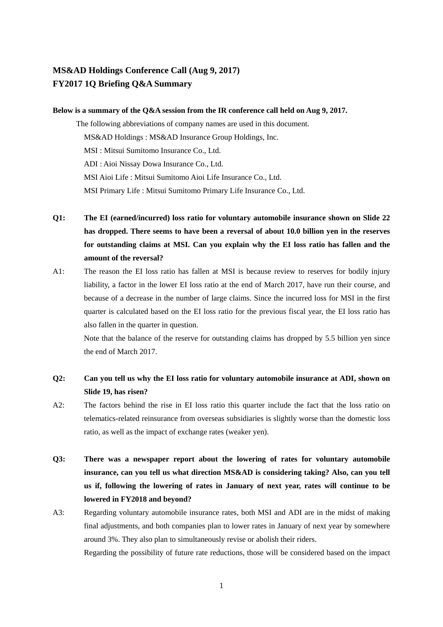## **MS&AD Holdings Conference Call (Aug 9, 2017) FY2017 1Q Briefing Q&A Summary**

## **Below is a summary of the Q&A session from the IR conference call held on Aug 9, 2017.**

The following abbreviations of company names are used in this document. MS&AD Holdings : MS&AD Insurance Group Holdings, Inc. MSI : Mitsui Sumitomo Insurance Co., Ltd. ADI : Aioi Nissay Dowa Insurance Co., Ltd. MSI Aioi Life : Mitsui Sumitomo Aioi Life Insurance Co., Ltd. MSI Primary Life : Mitsui Sumitomo Primary Life Insurance Co., Ltd.

- **Q1: The EI (earned/incurred) loss ratio for voluntary automobile insurance shown on Slide 22 has dropped. There seems to have been a reversal of about 10.0 billion yen in the reserves for outstanding claims at MSI. Can you explain why the EI loss ratio has fallen and the amount of the reversal?**
- A1: The reason the EI loss ratio has fallen at MSI is because review to reserves for bodily injury liability, a factor in the lower EI loss ratio at the end of March 2017, have run their course, and because of a decrease in the number of large claims. Since the incurred loss for MSI in the first quarter is calculated based on the EI loss ratio for the previous fiscal year, the EI loss ratio has also fallen in the quarter in question.

Note that the balance of the reserve for outstanding claims has dropped by 5.5 billion yen since the end of March 2017.

## **Q2: Can you tell us why the EI loss ratio for voluntary automobile insurance at ADI, shown on Slide 19, has risen?**

- A2: The factors behind the rise in EI loss ratio this quarter include the fact that the loss ratio on telematics-related reinsurance from overseas subsidiaries is slightly worse than the domestic loss ratio, as well as the impact of exchange rates (weaker yen).
- **Q3: There was a newspaper report about the lowering of rates for voluntary automobile insurance, can you tell us what direction MS&AD is considering taking? Also, can you tell us if, following the lowering of rates in January of next year, rates will continue to be lowered in FY2018 and beyond?**
- A3: Regarding voluntary automobile insurance rates, both MSI and ADI are in the midst of making final adjustments, and both companies plan to lower rates in January of next year by somewhere around 3%. They also plan to simultaneously revise or abolish their riders.

Regarding the possibility of future rate reductions, those will be considered based on the impact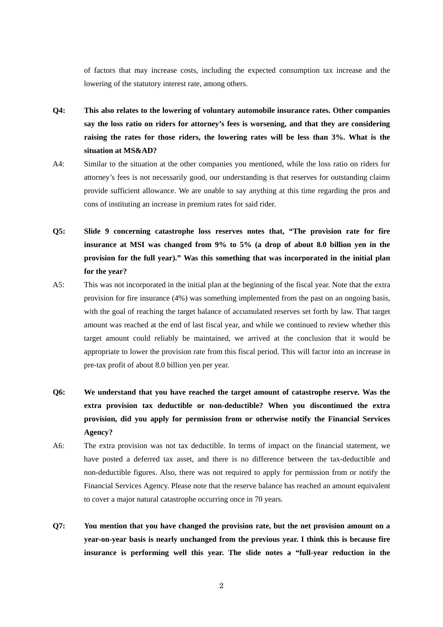of factors that may increase costs, including the expected consumption tax increase and the lowering of the statutory interest rate, among others.

- **Q4: This also relates to the lowering of voluntary automobile insurance rates. Other companies say the loss ratio on riders for attorney's fees is worsening, and that they are considering raising the rates for those riders, the lowering rates will be less than 3%. What is the situation at MS&AD?**
- A4: Similar to the situation at the other companies you mentioned, while the loss ratio on riders for attorney's fees is not necessarily good, our understanding is that reserves for outstanding claims provide sufficient allowance. We are unable to say anything at this time regarding the pros and cons of instituting an increase in premium rates for said rider.
- **Q5: Slide 9 concerning catastrophe loss reserves notes that, "The provision rate for fire insurance at MSI was changed from 9% to 5% (a drop of about 8.0 billion yen in the provision for the full year)." Was this something that was incorporated in the initial plan for the year?**
- A5: This was not incorporated in the initial plan at the beginning of the fiscal year. Note that the extra provision for fire insurance (4%) was something implemented from the past on an ongoing basis, with the goal of reaching the target balance of accumulated reserves set forth by law. That target amount was reached at the end of last fiscal year, and while we continued to review whether this target amount could reliably be maintained, we arrived at the conclusion that it would be appropriate to lower the provision rate from this fiscal period. This will factor into an increase in pre-tax profit of about 8.0 billion yen per year.
- **Q6: We understand that you have reached the target amount of catastrophe reserve. Was the extra provision tax deductible or non-deductible? When you discontinued the extra provision, did you apply for permission from or otherwise notify the Financial Services Agency?**
- A6: The extra provision was not tax deductible. In terms of impact on the financial statement, we have posted a deferred tax asset, and there is no difference between the tax-deductible and non-deductible figures. Also, there was not required to apply for permission from or notify the Financial Services Agency. Please note that the reserve balance has reached an amount equivalent to cover a major natural catastrophe occurring once in 70 years.
- **Q7: You mention that you have changed the provision rate, but the net provision amount on a year-on-year basis is nearly unchanged from the previous year. I think this is because fire insurance is performing well this year. The slide notes a "full-year reduction in the**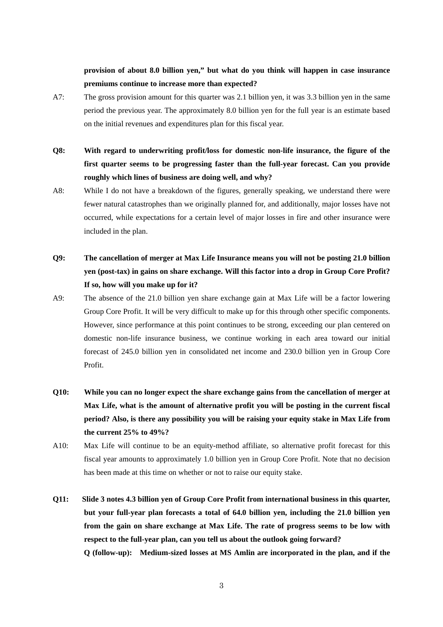## **provision of about 8.0 billion yen," but what do you think will happen in case insurance premiums continue to increase more than expected?**

- A7: The gross provision amount for this quarter was 2.1 billion yen, it was 3.3 billion yen in the same period the previous year. The approximately 8.0 billion yen for the full year is an estimate based on the initial revenues and expenditures plan for this fiscal year.
- **Q8: With regard to underwriting profit/loss for domestic non-life insurance, the figure of the first quarter seems to be progressing faster than the full-year forecast. Can you provide roughly which lines of business are doing well, and why?**
- A8: While I do not have a breakdown of the figures, generally speaking, we understand there were fewer natural catastrophes than we originally planned for, and additionally, major losses have not occurred, while expectations for a certain level of major losses in fire and other insurance were included in the plan.
- **Q9: The cancellation of merger at Max Life Insurance means you will not be posting 21.0 billion yen (post-tax) in gains on share exchange. Will this factor into a drop in Group Core Profit? If so, how will you make up for it?**
- A9: The absence of the 21.0 billion yen share exchange gain at Max Life will be a factor lowering Group Core Profit. It will be very difficult to make up for this through other specific components. However, since performance at this point continues to be strong, exceeding our plan centered on domestic non-life insurance business, we continue working in each area toward our initial forecast of 245.0 billion yen in consolidated net income and 230.0 billion yen in Group Core Profit.
- **Q10: While you can no longer expect the share exchange gains from the cancellation of merger at Max Life, what is the amount of alternative profit you will be posting in the current fiscal period? Also, is there any possibility you will be raising your equity stake in Max Life from the current 25% to 49%?**
- A10: Max Life will continue to be an equity-method affiliate, so alternative profit forecast for this fiscal year amounts to approximately 1.0 billion yen in Group Core Profit. Note that no decision has been made at this time on whether or not to raise our equity stake.
- **Q11: Slide 3 notes 4.3 billion yen of Group Core Profit from international business in this quarter, but your full-year plan forecasts a total of 64.0 billion yen, including the 21.0 billion yen from the gain on share exchange at Max Life. The rate of progress seems to be low with respect to the full-year plan, can you tell us about the outlook going forward? Q (follow-up): Medium-sized losses at MS Amlin are incorporated in the plan, and if the**